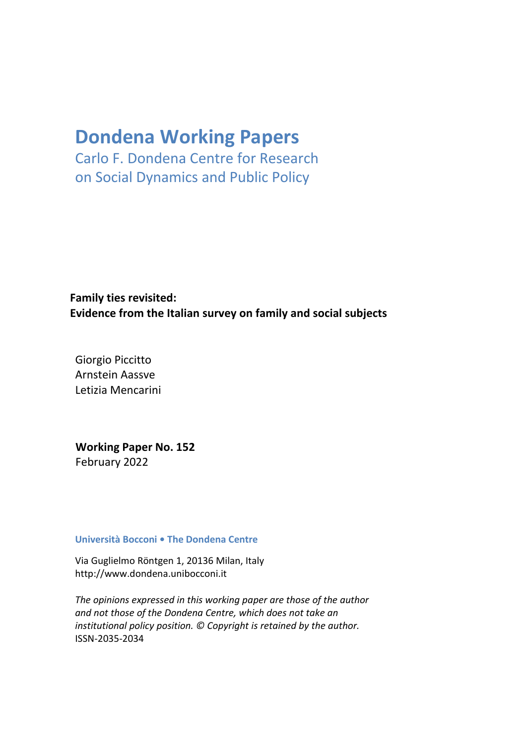# **Dondena Working Papers**

Carlo F. Dondena Centre for Research on Social Dynamics and Public Policy

**Family ties revisited: Evidence from the Italian survey on family and social subjects**

Giorgio Piccitto Arnstein Aassve Letizia Mencarini

**Working Paper No. 152** February 2022

## **Università Bocconi • The Dondena Centre**

Via Guglielmo Röntgen 1, 20136 Milan, Ital[y](http://www.dondena.unibocconi.it/) [http://www.dondena.unibocconi.it](http://www.dondena.unibocconi.it/)

*The opinions expressed in this working paper are those of the author and not those of the Dondena Centre, which does not take an institutional policy position. © Copyright is retained by the author.* ISSN-2035-2034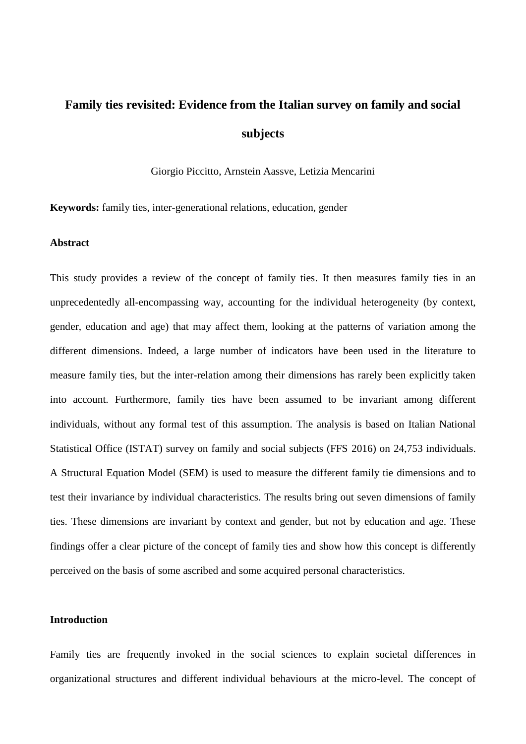# **Family ties revisited: Evidence from the Italian survey on family and social subjects**

Giorgio Piccitto, Arnstein Aassve, Letizia Mencarini

**Keywords:** family ties, inter-generational relations, education, gender

#### **Abstract**

This study provides a review of the concept of family ties. It then measures family ties in an unprecedentedly all-encompassing way, accounting for the individual heterogeneity (by context, gender, education and age) that may affect them, looking at the patterns of variation among the different dimensions. Indeed, a large number of indicators have been used in the literature to measure family ties, but the inter-relation among their dimensions has rarely been explicitly taken into account. Furthermore, family ties have been assumed to be invariant among different individuals, without any formal test of this assumption. The analysis is based on Italian National Statistical Office (ISTAT) survey on family and social subjects (FFS 2016) on 24,753 individuals. A Structural Equation Model (SEM) is used to measure the different family tie dimensions and to test their invariance by individual characteristics. The results bring out seven dimensions of family ties. These dimensions are invariant by context and gender, but not by education and age. These findings offer a clear picture of the concept of family ties and show how this concept is differently perceived on the basis of some ascribed and some acquired personal characteristics.

## **Introduction**

Family ties are frequently invoked in the social sciences to explain societal differences in organizational structures and different individual behaviours at the micro-level. The concept of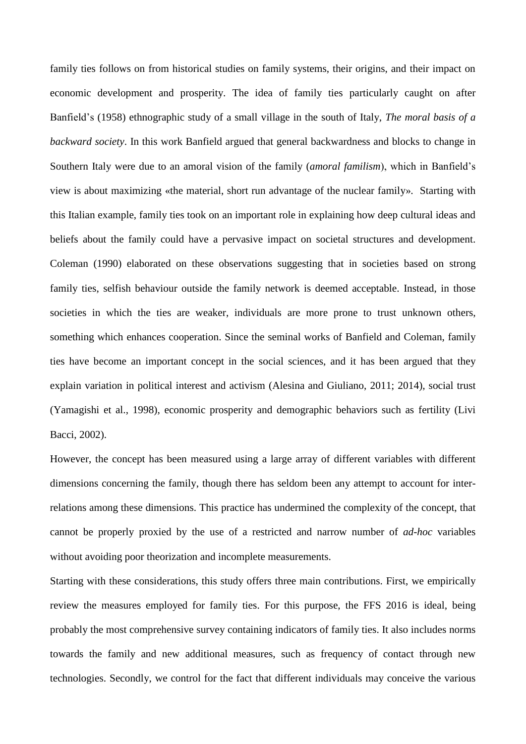family ties follows on from historical studies on family systems, their origins, and their impact on economic development and prosperity. The idea of family ties particularly caught on after Banfield's (1958) ethnographic study of a small village in the south of Italy, *The moral basis of a backward society*. In this work Banfield argued that general backwardness and blocks to change in Southern Italy were due to an amoral vision of the family (*amoral familism*), which in Banfield's view is about maximizing «the material, short run advantage of the nuclear family». Starting with this Italian example, family ties took on an important role in explaining how deep cultural ideas and beliefs about the family could have a pervasive impact on societal structures and development. Coleman (1990) elaborated on these observations suggesting that in societies based on strong family ties, selfish behaviour outside the family network is deemed acceptable. Instead, in those societies in which the ties are weaker, individuals are more prone to trust unknown others, something which enhances cooperation. Since the seminal works of Banfield and Coleman, family ties have become an important concept in the social sciences, and it has been argued that they explain variation in political interest and activism (Alesina and Giuliano, 2011; 2014), social trust (Yamagishi et al., 1998), economic prosperity and demographic behaviors such as fertility (Livi Bacci, 2002).

However, the concept has been measured using a large array of different variables with different dimensions concerning the family, though there has seldom been any attempt to account for interrelations among these dimensions. This practice has undermined the complexity of the concept, that cannot be properly proxied by the use of a restricted and narrow number of *ad-hoc* variables without avoiding poor theorization and incomplete measurements.

Starting with these considerations, this study offers three main contributions. First, we empirically review the measures employed for family ties. For this purpose, the FFS 2016 is ideal, being probably the most comprehensive survey containing indicators of family ties. It also includes norms towards the family and new additional measures, such as frequency of contact through new technologies. Secondly, we control for the fact that different individuals may conceive the various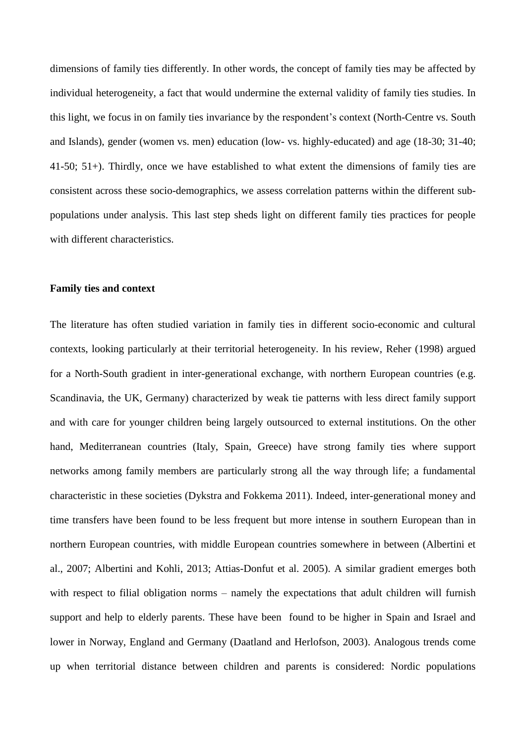dimensions of family ties differently. In other words, the concept of family ties may be affected by individual heterogeneity, a fact that would undermine the external validity of family ties studies. In this light, we focus in on family ties invariance by the respondent's context (North-Centre vs. South and Islands), gender (women vs. men) education (low- vs. highly-educated) and age (18-30; 31-40; 41-50; 51+). Thirdly, once we have established to what extent the dimensions of family ties are consistent across these socio-demographics, we assess correlation patterns within the different subpopulations under analysis. This last step sheds light on different family ties practices for people with different characteristics.

#### **Family ties and context**

The literature has often studied variation in family ties in different socio-economic and cultural contexts, looking particularly at their territorial heterogeneity. In his review, Reher (1998) argued for a North-South gradient in inter-generational exchange, with northern European countries (e.g. Scandinavia, the UK, Germany) characterized by weak tie patterns with less direct family support and with care for younger children being largely outsourced to external institutions. On the other hand, Mediterranean countries (Italy, Spain, Greece) have strong family ties where support networks among family members are particularly strong all the way through life; a fundamental characteristic in these societies (Dykstra and Fokkema 2011). Indeed, inter-generational money and time transfers have been found to be less frequent but more intense in southern European than in northern European countries, with middle European countries somewhere in between (Albertini et al., 2007; Albertini and Kohli, 2013; Attias-Donfut et al. 2005). A similar gradient emerges both with respect to filial obligation norms – namely the expectations that adult children will furnish support and help to elderly parents. These have been found to be higher in Spain and Israel and lower in Norway, England and Germany (Daatland and Herlofson, 2003). Analogous trends come up when territorial distance between children and parents is considered: Nordic populations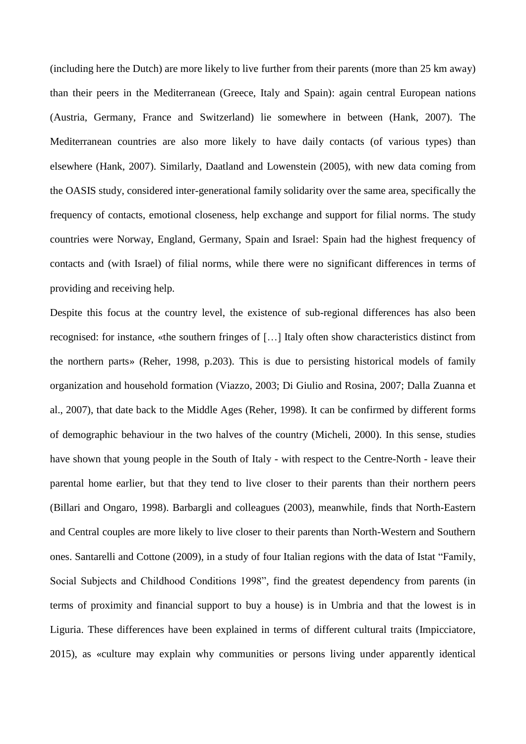(including here the Dutch) are more likely to live further from their parents (more than 25 km away) than their peers in the Mediterranean (Greece, Italy and Spain): again central European nations (Austria, Germany, France and Switzerland) lie somewhere in between (Hank, 2007). The Mediterranean countries are also more likely to have daily contacts (of various types) than elsewhere (Hank, 2007). Similarly, Daatland and Lowenstein (2005), with new data coming from the OASIS study, considered inter-generational family solidarity over the same area, specifically the frequency of contacts, emotional closeness, help exchange and support for filial norms. The study countries were Norway, England, Germany, Spain and Israel: Spain had the highest frequency of contacts and (with Israel) of filial norms, while there were no significant differences in terms of providing and receiving help.

Despite this focus at the country level, the existence of sub-regional differences has also been recognised: for instance, «the southern fringes of […] Italy often show characteristics distinct from the northern parts» (Reher, 1998, p.203). This is due to persisting historical models of family organization and household formation (Viazzo, 2003; Di Giulio and Rosina, 2007; Dalla Zuanna et al., 2007), that date back to the Middle Ages (Reher, 1998). It can be confirmed by different forms of demographic behaviour in the two halves of the country (Micheli, 2000). In this sense, studies have shown that young people in the South of Italy - with respect to the Centre-North - leave their parental home earlier, but that they tend to live closer to their parents than their northern peers (Billari and Ongaro, 1998). Barbargli and colleagues (2003), meanwhile, finds that North-Eastern and Central couples are more likely to live closer to their parents than North-Western and Southern ones. Santarelli and Cottone (2009), in a study of four Italian regions with the data of Istat "Family, Social Subjects and Childhood Conditions 1998", find the greatest dependency from parents (in terms of proximity and financial support to buy a house) is in Umbria and that the lowest is in Liguria. These differences have been explained in terms of different cultural traits (Impicciatore, 2015), as «culture may explain why communities or persons living under apparently identical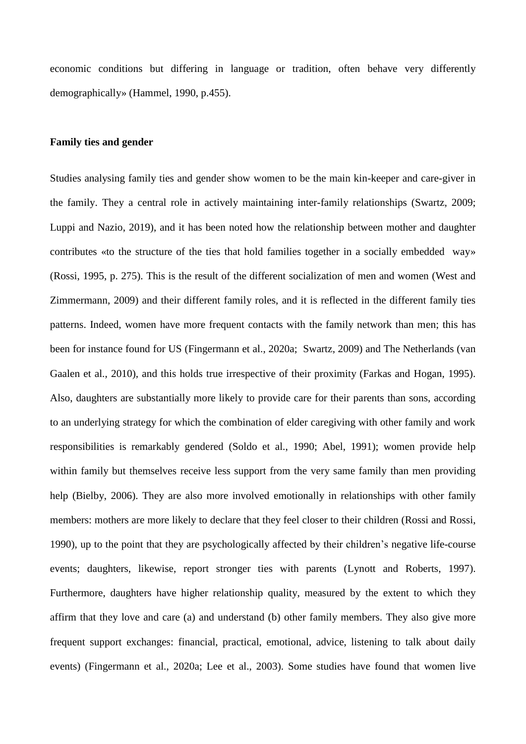economic conditions but differing in language or tradition, often behave very differently demographically» (Hammel, 1990, p.455).

## **Family ties and gender**

Studies analysing family ties and gender show women to be the main kin-keeper and care-giver in the family. They a central role in actively maintaining inter-family relationships (Swartz, 2009; Luppi and Nazio, 2019), and it has been noted how the relationship between mother and daughter contributes «to the structure of the ties that hold families together in a socially embedded way» (Rossi, 1995, p. 275). This is the result of the different socialization of men and women (West and Zimmermann, 2009) and their different family roles, and it is reflected in the different family ties patterns. Indeed, women have more frequent contacts with the family network than men; this has been for instance found for US (Fingermann et al., 2020a; Swartz, 2009) and The Netherlands (van Gaalen et al., 2010), and this holds true irrespective of their proximity (Farkas and Hogan, 1995). Also, daughters are substantially more likely to provide care for their parents than sons, according to an underlying strategy for which the combination of elder caregiving with other family and work responsibilities is remarkably gendered (Soldo et al., 1990; Abel, 1991); women provide help within family but themselves receive less support from the very same family than men providing help (Bielby, 2006). They are also more involved emotionally in relationships with other family members: mothers are more likely to declare that they feel closer to their children (Rossi and Rossi, 1990), up to the point that they are psychologically affected by their children's negative life-course events; daughters, likewise, report stronger ties with parents (Lynott and Roberts, 1997). Furthermore, daughters have higher relationship quality, measured by the extent to which they affirm that they love and care (a) and understand (b) other family members. They also give more frequent support exchanges: financial, practical, emotional, advice, listening to talk about daily events) (Fingermann et al., 2020a; Lee et al., 2003). Some studies have found that women live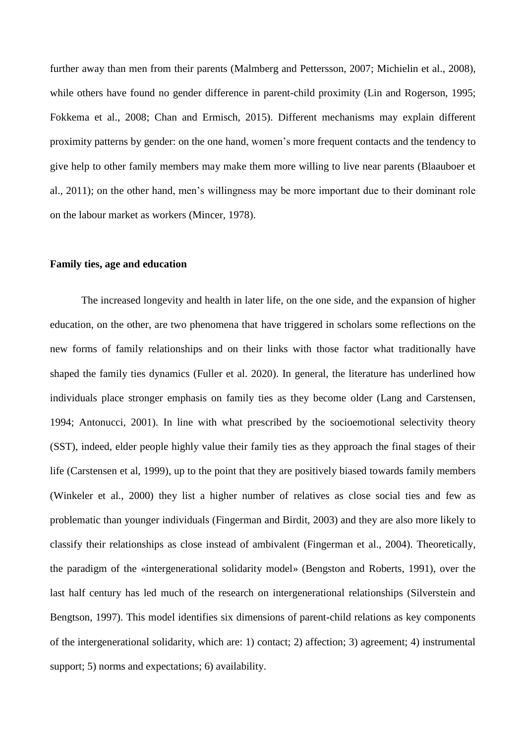further away than men from their parents (Malmberg and Pettersson, 2007; Michielin et al., 2008), while others have found no gender difference in parent-child proximity (Lin and Rogerson, 1995; Fokkema et al., 2008; Chan and Ermisch, 2015). Different mechanisms may explain different proximity patterns by gender: on the one hand, women's more frequent contacts and the tendency to give help to other family members may make them more willing to live near parents (Blaauboer et al., 2011); on the other hand, men's willingness may be more important due to their dominant role on the labour market as workers (Mincer, 1978).

#### **Family ties, age and education**

The increased longevity and health in later life, on the one side, and the expansion of higher education, on the other, are two phenomena that have triggered in scholars some reflections on the new forms of family relationships and on their links with those factor what traditionally have shaped the family ties dynamics (Fuller et al. 2020). In general, the literature has underlined how individuals place stronger emphasis on family ties as they become older (Lang and Carstensen, 1994; Antonucci, 2001). In line with what prescribed by the socioemotional selectivity theory (SST), indeed, elder people highly value their family ties as they approach the final stages of their life (Carstensen et al, 1999), up to the point that they are positively biased towards family members (Winkeler et al., 2000) they list a higher number of relatives as close social ties and few as problematic than younger individuals (Fingerman and Birdit, 2003) and they are also more likely to classify their relationships as close instead of ambivalent (Fingerman et al., 2004). Theoretically, the paradigm of the «intergenerational solidarity model» (Bengston and Roberts, 1991), over the last half century has led much of the research on intergenerational relationships (Silverstein and Bengtson, 1997). This model identifies six dimensions of parent-child relations as key components of the intergenerational solidarity, which are: 1) contact; 2) affection; 3) agreement; 4) instrumental support; 5) norms and expectations; 6) availability.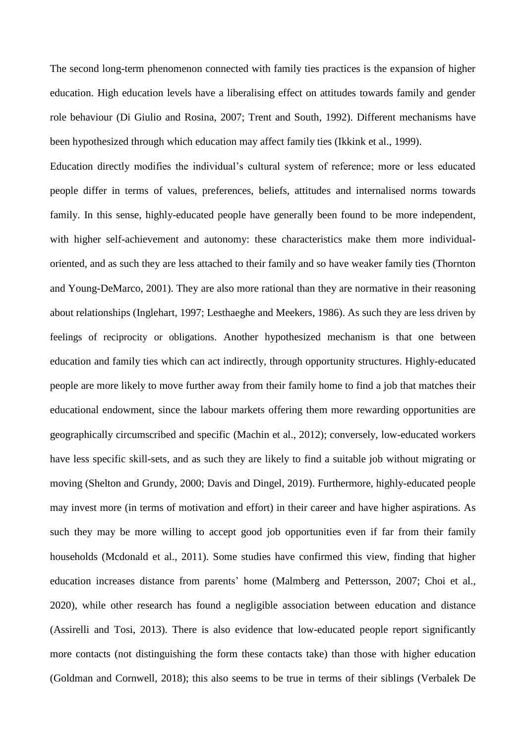The second long-term phenomenon connected with family ties practices is the expansion of higher education. High education levels have a liberalising effect on attitudes towards family and gender role behaviour (Di Giulio and Rosina, 2007; Trent and South, 1992). Different mechanisms have been hypothesized through which education may affect family ties (Ikkink et al., 1999).

Education directly modifies the individual's cultural system of reference; more or less educated people differ in terms of values, preferences, beliefs, attitudes and internalised norms towards family. In this sense, highly-educated people have generally been found to be more independent, with higher self-achievement and autonomy: these characteristics make them more individualoriented, and as such they are less attached to their family and so have weaker family ties (Thornton and Young-DeMarco, 2001). They are also more rational than they are normative in their reasoning about relationships (Inglehart, 1997; Lesthaeghe and Meekers, 1986). As such they are less driven by feelings of reciprocity or obligations. Another hypothesized mechanism is that one between education and family ties which can act indirectly, through opportunity structures. Highly-educated people are more likely to move further away from their family home to find a job that matches their educational endowment, since the labour markets offering them more rewarding opportunities are geographically circumscribed and specific (Machin et al., 2012); conversely, low-educated workers have less specific skill-sets, and as such they are likely to find a suitable job without migrating or moving (Shelton and Grundy, 2000; Davis and Dingel, 2019). Furthermore, highly-educated people may invest more (in terms of motivation and effort) in their career and have higher aspirations. As such they may be more willing to accept good job opportunities even if far from their family households (Mcdonald et al., 2011). Some studies have confirmed this view, finding that higher education increases distance from parents' home (Malmberg and Pettersson, 2007; Choi et al., 2020), while other research has found a negligible association between education and distance (Assirelli and Tosi, 2013). There is also evidence that low-educated people report significantly more contacts (not distinguishing the form these contacts take) than those with higher education (Goldman and Cornwell, 2018); this also seems to be true in terms of their siblings (Verbalek De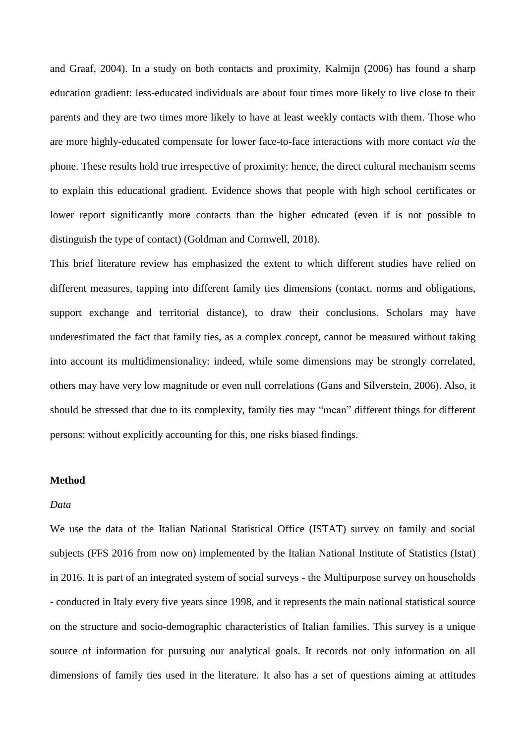and Graaf, 2004). In a study on both contacts and proximity, Kalmijn (2006) has found a sharp education gradient: less-educated individuals are about four times more likely to live close to their parents and they are two times more likely to have at least weekly contacts with them. Those who are more highly-educated compensate for lower face-to-face interactions with more contact *via* the phone. These results hold true irrespective of proximity: hence, the direct cultural mechanism seems to explain this educational gradient. Evidence shows that people with high school certificates or lower report significantly more contacts than the higher educated (even if is not possible to distinguish the type of contact) (Goldman and Cornwell, 2018).

This brief literature review has emphasized the extent to which different studies have relied on different measures, tapping into different family ties dimensions (contact, norms and obligations, support exchange and territorial distance), to draw their conclusions. Scholars may have underestimated the fact that family ties, as a complex concept, cannot be measured without taking into account its multidimensionality: indeed, while some dimensions may be strongly correlated, others may have very low magnitude or even null correlations (Gans and Silverstein, 2006). Also, it should be stressed that due to its complexity, family ties may "mean" different things for different persons: without explicitly accounting for this, one risks biased findings.

### **Method**

### *Data*

We use the data of the Italian National Statistical Office (ISTAT) survey on family and social subjects (FFS 2016 from now on) implemented by the Italian National Institute of Statistics (Istat) in 2016. It is part of an integrated system of social surveys - the Multipurpose survey on households - conducted in Italy every five years since 1998, and it represents the main national statistical source on the structure and socio-demographic characteristics of Italian families. This survey is a unique source of information for pursuing our analytical goals. It records not only information on all dimensions of family ties used in the literature. It also has a set of questions aiming at attitudes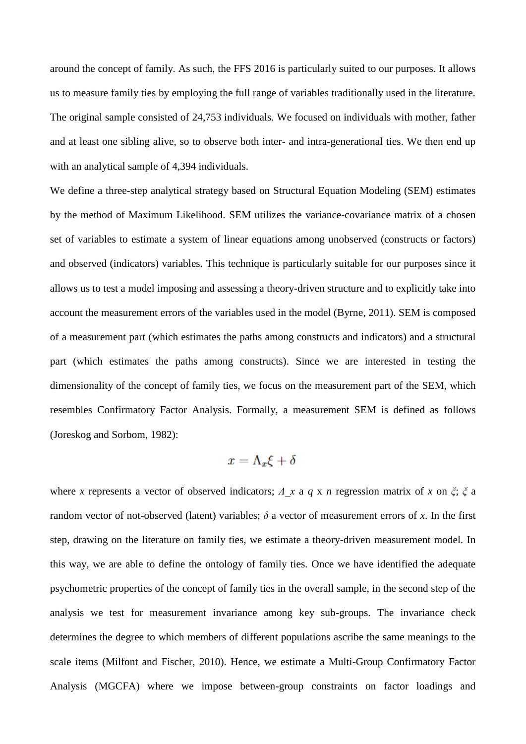around the concept of family. As such, the FFS 2016 is particularly suited to our purposes. It allows us to measure family ties by employing the full range of variables traditionally used in the literature. The original sample consisted of 24,753 individuals. We focused on individuals with mother, father and at least one sibling alive, so to observe both inter- and intra-generational ties. We then end up with an analytical sample of 4,394 individuals.

We define a three-step analytical strategy based on Structural Equation Modeling (SEM) estimates by the method of Maximum Likelihood. SEM utilizes the variance-covariance matrix of a chosen set of variables to estimate a system of linear equations among unobserved (constructs or factors) and observed (indicators) variables. This technique is particularly suitable for our purposes since it allows us to test a model imposing and assessing a theory-driven structure and to explicitly take into account the measurement errors of the variables used in the model (Byrne, 2011). SEM is composed of a measurement part (which estimates the paths among constructs and indicators) and a structural part (which estimates the paths among constructs). Since we are interested in testing the dimensionality of the concept of family ties, we focus on the measurement part of the SEM, which resembles Confirmatory Factor Analysis. Formally, a measurement SEM is defined as follows (Joreskog and Sorbom, 1982):

$$
x=\Lambda_x \xi + \delta
$$

where *x* represents a vector of observed indicators; *Λ\_x* a *q* x *n* regression matrix of *x* on *ξ*; *ξ* a random vector of not-observed (latent) variables;  $\delta$  a vector of measurement errors of *x*. In the first step, drawing on the literature on family ties, we estimate a theory-driven measurement model. In this way, we are able to define the ontology of family ties. Once we have identified the adequate psychometric properties of the concept of family ties in the overall sample, in the second step of the analysis we test for measurement invariance among key sub-groups. The invariance check determines the degree to which members of different populations ascribe the same meanings to the scale items (Milfont and Fischer, 2010). Hence, we estimate a Multi-Group Confirmatory Factor Analysis (MGCFA) where we impose between-group constraints on factor loadings and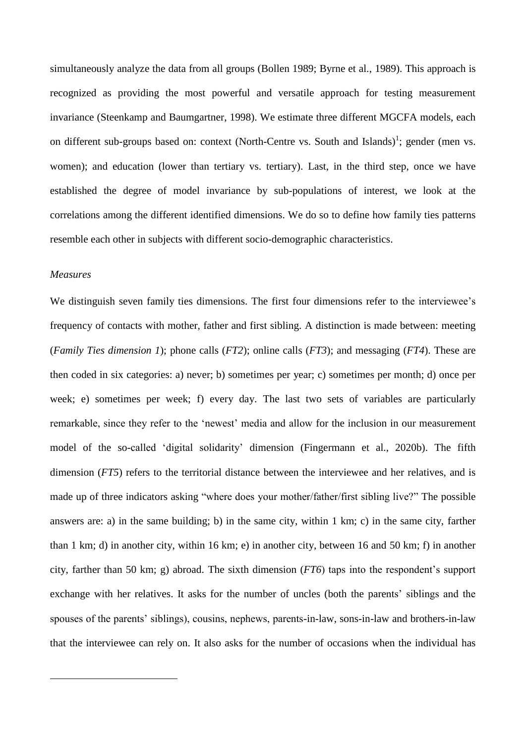simultaneously analyze the data from all groups (Bollen 1989; Byrne et al., 1989). This approach is recognized as providing the most powerful and versatile approach for testing measurement invariance (Steenkamp and Baumgartner, 1998). We estimate three different MGCFA models, each on different sub-groups based on: context (North-Centre vs. South and Islands)<sup>1</sup>; gender (men vs. women); and education (lower than tertiary vs. tertiary). Last, in the third step, once we have established the degree of model invariance by sub-populations of interest, we look at the correlations among the different identified dimensions. We do so to define how family ties patterns resemble each other in subjects with different socio-demographic characteristics.

#### *Measures*

1

We distinguish seven family ties dimensions. The first four dimensions refer to the interviewee's frequency of contacts with mother, father and first sibling. A distinction is made between: meeting (*Family Ties dimension 1*); phone calls (*FT2*); online calls (*FT3*); and messaging (*FT4*). These are then coded in six categories: a) never; b) sometimes per year; c) sometimes per month; d) once per week; e) sometimes per week; f) every day. The last two sets of variables are particularly remarkable, since they refer to the 'newest' media and allow for the inclusion in our measurement model of the so-called 'digital solidarity' dimension (Fingermann et al., 2020b). The fifth dimension (*FT5*) refers to the territorial distance between the interviewee and her relatives, and is made up of three indicators asking "where does your mother/father/first sibling live?" The possible answers are: a) in the same building; b) in the same city, within 1 km; c) in the same city, farther than 1 km; d) in another city, within 16 km; e) in another city, between 16 and 50 km; f) in another city, farther than 50 km; g) abroad. The sixth dimension (*FT6*) taps into the respondent's support exchange with her relatives. It asks for the number of uncles (both the parents' siblings and the spouses of the parents' siblings), cousins, nephews, parents-in-law, sons-in-law and brothers-in-law that the interviewee can rely on. It also asks for the number of occasions when the individual has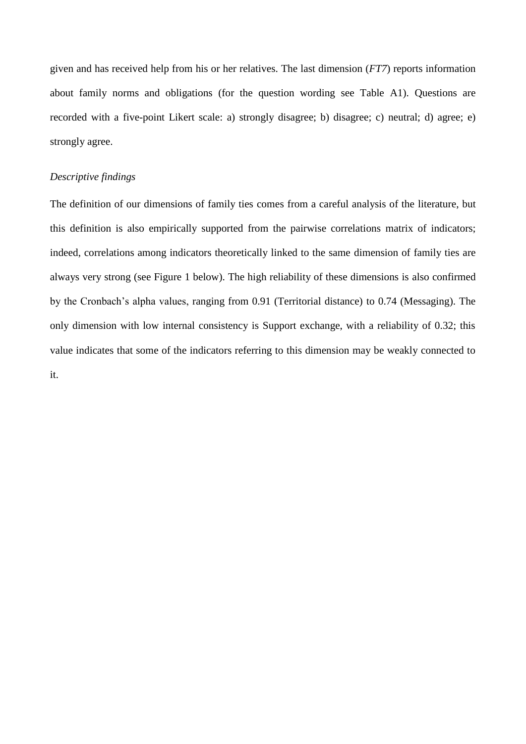given and has received help from his or her relatives. The last dimension (*FT7*) reports information about family norms and obligations (for the question wording see Table A1). Questions are recorded with a five-point Likert scale: a) strongly disagree; b) disagree; c) neutral; d) agree; e) strongly agree.

### *Descriptive findings*

The definition of our dimensions of family ties comes from a careful analysis of the literature, but this definition is also empirically supported from the pairwise correlations matrix of indicators; indeed, correlations among indicators theoretically linked to the same dimension of family ties are always very strong (see Figure 1 below). The high reliability of these dimensions is also confirmed by the Cronbach's alpha values, ranging from 0.91 (Territorial distance) to 0.74 (Messaging). The only dimension with low internal consistency is Support exchange, with a reliability of 0.32; this value indicates that some of the indicators referring to this dimension may be weakly connected to it.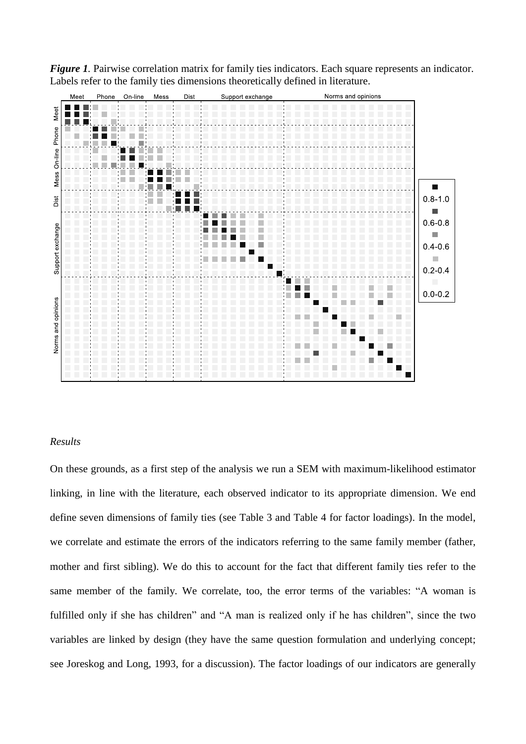

*Figure* 1. Pairwise correlation matrix for family ties indicators. Each square represents an indicator. Labels refer to the family ties dimensions theoretically defined in literature.

## *Results*

On these grounds, as a first step of the analysis we run a SEM with maximum-likelihood estimator linking, in line with the literature, each observed indicator to its appropriate dimension. We end define seven dimensions of family ties (see Table 3 and Table 4 for factor loadings). In the model, we correlate and estimate the errors of the indicators referring to the same family member (father, mother and first sibling). We do this to account for the fact that different family ties refer to the same member of the family. We correlate, too, the error terms of the variables: "A woman is fulfilled only if she has children" and "A man is realized only if he has children", since the two variables are linked by design (they have the same question formulation and underlying concept; see Joreskog and Long, 1993, for a discussion). The factor loadings of our indicators are generally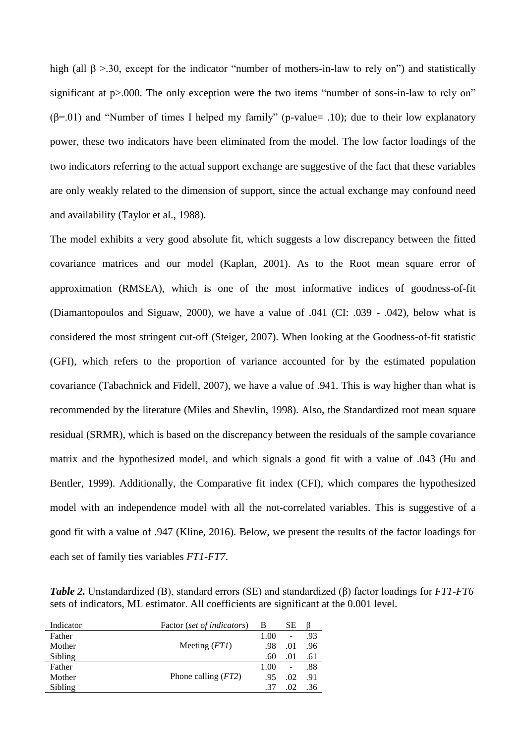high (all  $\beta > 30$ , except for the indicator "number of mothers-in-law to rely on") and statistically significant at p > 000. The only exception were the two items "number of sons-in-law to rely on"  $(\beta=01)$  and "Number of times I helped my family" (p-value = .10); due to their low explanatory power, these two indicators have been eliminated from the model. The low factor loadings of the two indicators referring to the actual support exchange are suggestive of the fact that these variables are only weakly related to the dimension of support, since the actual exchange may confound need and availability (Taylor et al., 1988).

The model exhibits a very good absolute fit, which suggests a low discrepancy between the fitted covariance matrices and our model (Kaplan, 2001). As to the Root mean square error of approximation (RMSEA), which is one of the most informative indices of goodness-of-fit (Diamantopoulos and Siguaw, 2000), we have a value of .041 (CI: .039 - .042), below what is considered the most stringent cut-off (Steiger, 2007). When looking at the Goodness-of-fit statistic (GFI), which refers to the proportion of variance accounted for by the estimated population covariance (Tabachnick and Fidell, 2007), we have a value of .941. This is way higher than what is recommended by the literature (Miles and Shevlin, 1998). Also, the Standardized root mean square residual (SRMR), which is based on the discrepancy between the residuals of the sample covariance matrix and the hypothesized model, and which signals a good fit with a value of .043 (Hu and Bentler, 1999). Additionally, the Comparative fit index (CFI), which compares the hypothesized model with an independence model with all the not-correlated variables. This is suggestive of a good fit with a value of .947 (Kline, 2016). Below, we present the results of the factor loadings for each set of family ties variables *FT1-FT7*.

*Table 2.* Unstandardized (B), standard errors (SE) and standardized (β) factor loadings for *FT1-FT6* sets of indicators, ML estimator. All coefficients are significant at the 0.001 level.

| Indicator | Factor (set of indicators) | В    | SЕ             |     |
|-----------|----------------------------|------|----------------|-----|
| Father    |                            | 1.00 | $\overline{a}$ | .93 |
| Mother    | Meeting $(FTI)$            | .98  | .01            | .96 |
| Sibling   |                            | .60  | .01            | .61 |
| Father    |                            | 1.00 | $\overline{a}$ | .88 |
| Mother    | Phone calling $(FT2)$      | .95  | .02            | .91 |
| Sibling   |                            | .37  | .02            | .36 |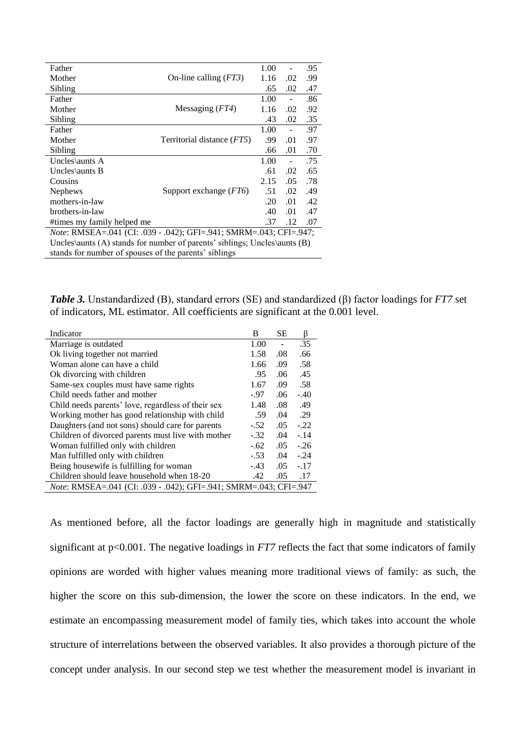| Father                                                                      |                                     | 1.00 |     | .95 |
|-----------------------------------------------------------------------------|-------------------------------------|------|-----|-----|
| Mother                                                                      | On-line calling $(FT3)$             | 1.16 | .02 | .99 |
| Sibling                                                                     |                                     | .65  | .02 | .47 |
| Father                                                                      |                                     | 1.00 |     | .86 |
| Mother                                                                      | Messaging $(FT4)$                   | 1.16 | .02 | .92 |
| Sibling                                                                     |                                     | .43  | .02 | .35 |
| Father                                                                      |                                     | 1.00 |     | .97 |
| Mother                                                                      | Territorial distance ( <i>FT5</i> ) | .99  | .01 | .97 |
| Sibling                                                                     |                                     | .66  | .01 | .70 |
| Uncles\aunts A                                                              |                                     | 1.00 |     | .75 |
| Uncles\aunts $B$                                                            |                                     | .61  | .02 | .65 |
| Cousins                                                                     |                                     | 2.15 | .05 | .78 |
| <b>Nephews</b>                                                              | Support exchange $(FT6)$            | .51  | .02 | .49 |
| mothers-in-law                                                              |                                     | .20  | .01 | .42 |
| brothers-in-law                                                             |                                     | .40  | .01 | .47 |
| #times my family helped me                                                  |                                     | .37  | .12 | .07 |
| <i>Note</i> : RMSEA=.041 (CI: .039 - .042); GFI=.941; SMRM=.043; CFI=.947;  |                                     |      |     |     |
| Uncles\aunts (A) stands for number of parents' siblings; Uncles\aunts $(B)$ |                                     |      |     |     |
| stands for number of spouses of the parents' siblings                       |                                     |      |     |     |

*Table 3.* Unstandardized (B), standard errors (SE) and standardized (β) factor loadings for *FT7* set of indicators, ML estimator. All coefficients are significant at the 0.001 level.

| Indicator                                                                 | B      | SЕ  | β      |  |
|---------------------------------------------------------------------------|--------|-----|--------|--|
| Marriage is outdated                                                      | 1.00   |     | .35    |  |
| Ok living together not married                                            | 1.58   | .08 | .66    |  |
| Woman alone can have a child                                              | 1.66   | .09 | .58    |  |
| Ok divorcing with children                                                | .95    | .06 | .45    |  |
| Same-sex couples must have same rights                                    | 1.67   | .09 | .58    |  |
| Child needs father and mother                                             | $-97$  | .06 | $-.40$ |  |
| Child needs parents' love, regardless of their sex                        | 1.48   | .08 | .49    |  |
| Working mother has good relationship with child                           | .59    | .04 | .29    |  |
| Daughters (and not sons) should care for parents                          |        | .05 | $-.22$ |  |
| Children of divorced parents must live with mother                        | $-.32$ | .04 | $-.14$ |  |
| Woman fulfilled only with children                                        | $-.62$ | .05 | $-.26$ |  |
| Man fulfilled only with children                                          | $-.53$ | .04 | $-.24$ |  |
| Being housewife is fulfilling for woman                                   | $-.43$ | .05 | $-.17$ |  |
| Children should leave household when 18-20                                | .42    | .05 | .17    |  |
| <i>Note</i> : RMSEA=.041 (CI: .039 - .042); GFI=.941; SMRM=.043; CFI=.947 |        |     |        |  |

As mentioned before, all the factor loadings are generally high in magnitude and statistically significant at p<0.001. The negative loadings in *FT7* reflects the fact that some indicators of family opinions are worded with higher values meaning more traditional views of family: as such, the higher the score on this sub-dimension, the lower the score on these indicators. In the end, we estimate an encompassing measurement model of family ties, which takes into account the whole structure of interrelations between the observed variables. It also provides a thorough picture of the concept under analysis. In our second step we test whether the measurement model is invariant in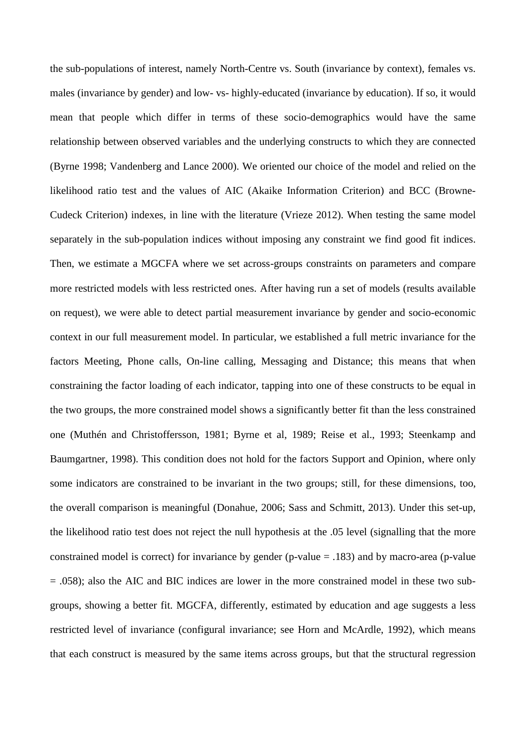the sub-populations of interest, namely North-Centre vs. South (invariance by context), females vs. males (invariance by gender) and low- vs- highly-educated (invariance by education). If so, it would mean that people which differ in terms of these socio-demographics would have the same relationship between observed variables and the underlying constructs to which they are connected (Byrne 1998; Vandenberg and Lance 2000). We oriented our choice of the model and relied on the likelihood ratio test and the values of AIC (Akaike Information Criterion) and BCC (Browne-Cudeck Criterion) indexes, in line with the literature (Vrieze 2012). When testing the same model separately in the sub-population indices without imposing any constraint we find good fit indices. Then, we estimate a MGCFA where we set across-groups constraints on parameters and compare more restricted models with less restricted ones. After having run a set of models (results available on request), we were able to detect partial measurement invariance by gender and socio-economic context in our full measurement model. In particular, we established a full metric invariance for the factors Meeting, Phone calls, On-line calling, Messaging and Distance; this means that when constraining the factor loading of each indicator, tapping into one of these constructs to be equal in the two groups, the more constrained model shows a significantly better fit than the less constrained one (Muthén and Christoffersson, 1981; Byrne et al, 1989; Reise et al., 1993; Steenkamp and Baumgartner, 1998). This condition does not hold for the factors Support and Opinion, where only some indicators are constrained to be invariant in the two groups; still, for these dimensions, too, the overall comparison is meaningful (Donahue, 2006; Sass and Schmitt, 2013). Under this set-up, the likelihood ratio test does not reject the null hypothesis at the .05 level (signalling that the more constrained model is correct) for invariance by gender (p-value = .183) and by macro-area (p-value = .058); also the AIC and BIC indices are lower in the more constrained model in these two subgroups, showing a better fit. MGCFA, differently, estimated by education and age suggests a less restricted level of invariance (configural invariance; see Horn and McArdle, 1992), which means that each construct is measured by the same items across groups, but that the structural regression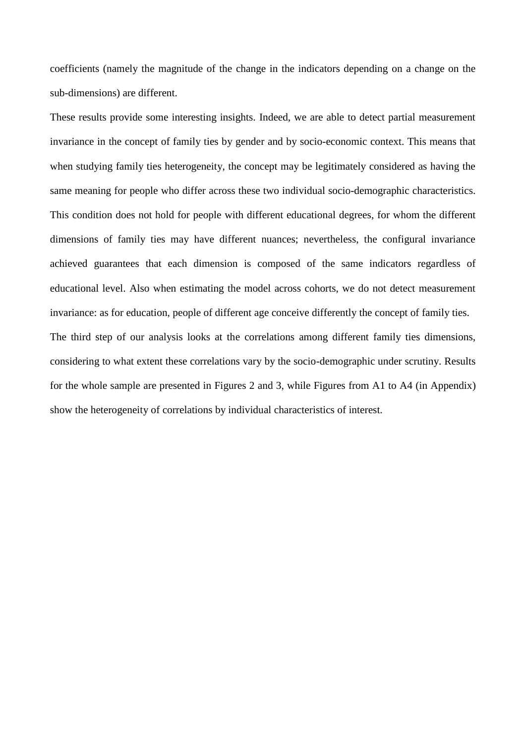coefficients (namely the magnitude of the change in the indicators depending on a change on the sub-dimensions) are different.

These results provide some interesting insights. Indeed, we are able to detect partial measurement invariance in the concept of family ties by gender and by socio-economic context. This means that when studying family ties heterogeneity, the concept may be legitimately considered as having the same meaning for people who differ across these two individual socio-demographic characteristics. This condition does not hold for people with different educational degrees, for whom the different dimensions of family ties may have different nuances; nevertheless, the configural invariance achieved guarantees that each dimension is composed of the same indicators regardless of educational level. Also when estimating the model across cohorts, we do not detect measurement invariance: as for education, people of different age conceive differently the concept of family ties. The third step of our analysis looks at the correlations among different family ties dimensions, considering to what extent these correlations vary by the socio-demographic under scrutiny. Results for the whole sample are presented in Figures 2 and 3, while Figures from A1 to A4 (in Appendix) show the heterogeneity of correlations by individual characteristics of interest.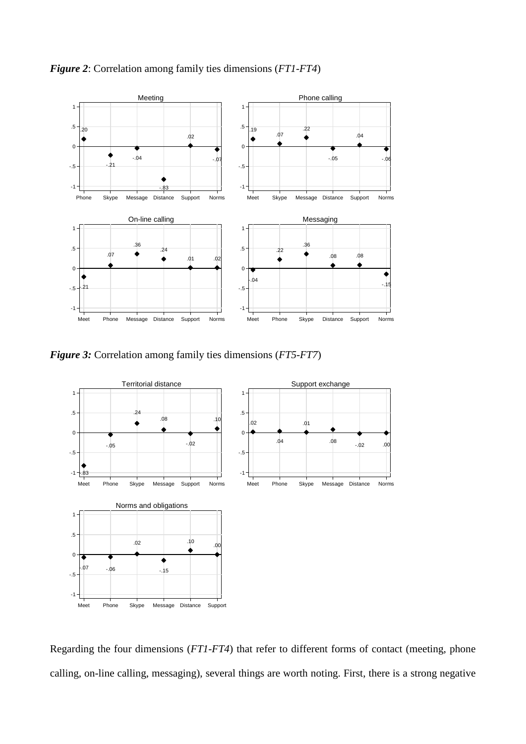

*Figure 2*: Correlation among family ties dimensions (*FT1-FT4*)

*Figure 3:* Correlation among family ties dimensions (*FT5-FT7*)



Regarding the four dimensions (*FT1-FT4*) that refer to different forms of contact (meeting, phone calling, on-line calling, messaging), several things are worth noting. First, there is a strong negative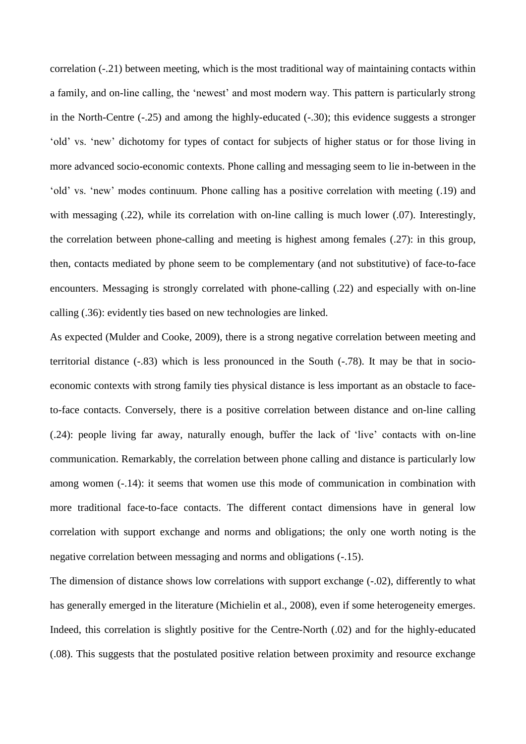correlation (-.21) between meeting, which is the most traditional way of maintaining contacts within a family, and on-line calling, the 'newest' and most modern way. This pattern is particularly strong in the North-Centre (-.25) and among the highly-educated (-.30); this evidence suggests a stronger 'old' vs. 'new' dichotomy for types of contact for subjects of higher status or for those living in more advanced socio-economic contexts. Phone calling and messaging seem to lie in-between in the 'old' vs. 'new' modes continuum. Phone calling has a positive correlation with meeting (.19) and with messaging (.22), while its correlation with on-line calling is much lower (.07). Interestingly, the correlation between phone-calling and meeting is highest among females (.27): in this group, then, contacts mediated by phone seem to be complementary (and not substitutive) of face-to-face encounters. Messaging is strongly correlated with phone-calling (.22) and especially with on-line calling (.36): evidently ties based on new technologies are linked.

As expected (Mulder and Cooke, 2009), there is a strong negative correlation between meeting and territorial distance (-.83) which is less pronounced in the South (-.78). It may be that in socioeconomic contexts with strong family ties physical distance is less important as an obstacle to faceto-face contacts. Conversely, there is a positive correlation between distance and on-line calling (.24): people living far away, naturally enough, buffer the lack of 'live' contacts with on-line communication. Remarkably, the correlation between phone calling and distance is particularly low among women (-.14): it seems that women use this mode of communication in combination with more traditional face-to-face contacts. The different contact dimensions have in general low correlation with support exchange and norms and obligations; the only one worth noting is the negative correlation between messaging and norms and obligations (-.15).

The dimension of distance shows low correlations with support exchange (-.02), differently to what has generally emerged in the literature (Michielin et al., 2008), even if some heterogeneity emerges. Indeed, this correlation is slightly positive for the Centre-North (.02) and for the highly-educated (.08). This suggests that the postulated positive relation between proximity and resource exchange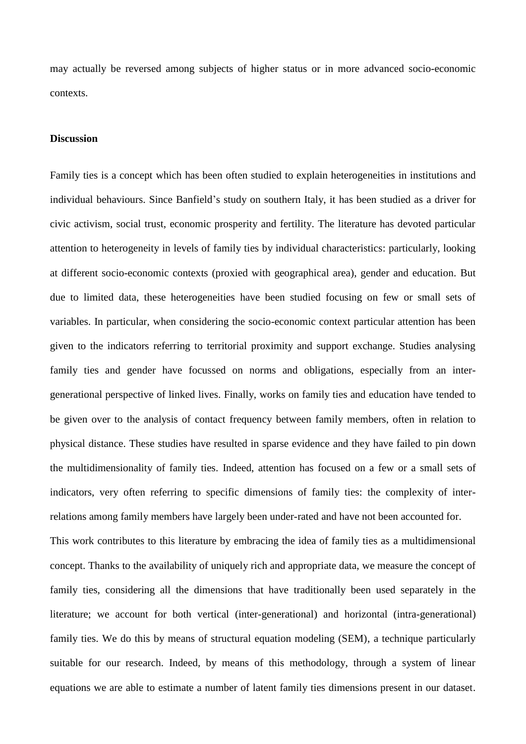may actually be reversed among subjects of higher status or in more advanced socio-economic contexts.

#### **Discussion**

Family ties is a concept which has been often studied to explain heterogeneities in institutions and individual behaviours. Since Banfield's study on southern Italy, it has been studied as a driver for civic activism, social trust, economic prosperity and fertility. The literature has devoted particular attention to heterogeneity in levels of family ties by individual characteristics: particularly, looking at different socio-economic contexts (proxied with geographical area), gender and education. But due to limited data, these heterogeneities have been studied focusing on few or small sets of variables. In particular, when considering the socio-economic context particular attention has been given to the indicators referring to territorial proximity and support exchange. Studies analysing family ties and gender have focussed on norms and obligations, especially from an intergenerational perspective of linked lives. Finally, works on family ties and education have tended to be given over to the analysis of contact frequency between family members, often in relation to physical distance. These studies have resulted in sparse evidence and they have failed to pin down the multidimensionality of family ties. Indeed, attention has focused on a few or a small sets of indicators, very often referring to specific dimensions of family ties: the complexity of interrelations among family members have largely been under-rated and have not been accounted for.

This work contributes to this literature by embracing the idea of family ties as a multidimensional concept. Thanks to the availability of uniquely rich and appropriate data, we measure the concept of family ties, considering all the dimensions that have traditionally been used separately in the literature; we account for both vertical (inter-generational) and horizontal (intra-generational) family ties. We do this by means of structural equation modeling (SEM), a technique particularly suitable for our research. Indeed, by means of this methodology, through a system of linear equations we are able to estimate a number of latent family ties dimensions present in our dataset.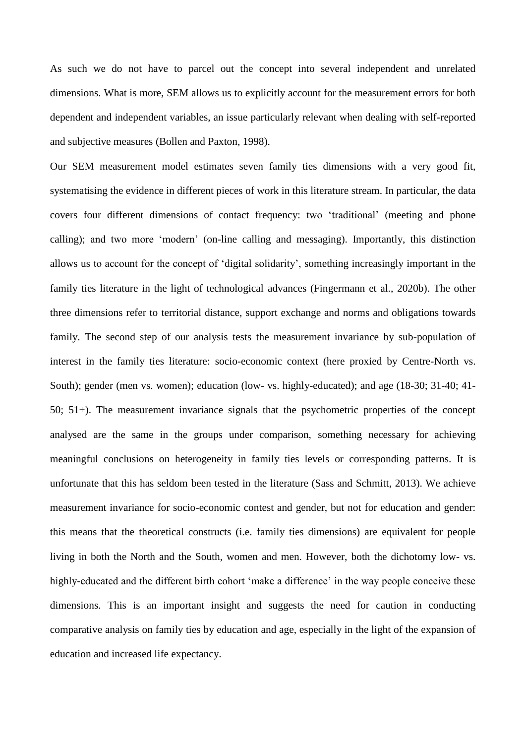As such we do not have to parcel out the concept into several independent and unrelated dimensions. What is more, SEM allows us to explicitly account for the measurement errors for both dependent and independent variables, an issue particularly relevant when dealing with self-reported and subjective measures (Bollen and Paxton, 1998).

Our SEM measurement model estimates seven family ties dimensions with a very good fit, systematising the evidence in different pieces of work in this literature stream. In particular, the data covers four different dimensions of contact frequency: two 'traditional' (meeting and phone calling); and two more 'modern' (on-line calling and messaging). Importantly, this distinction allows us to account for the concept of 'digital solidarity', something increasingly important in the family ties literature in the light of technological advances (Fingermann et al., 2020b). The other three dimensions refer to territorial distance, support exchange and norms and obligations towards family. The second step of our analysis tests the measurement invariance by sub-population of interest in the family ties literature: socio-economic context (here proxied by Centre-North vs. South); gender (men vs. women); education (low- vs. highly-educated); and age (18-30; 31-40; 41- 50; 51+). The measurement invariance signals that the psychometric properties of the concept analysed are the same in the groups under comparison, something necessary for achieving meaningful conclusions on heterogeneity in family ties levels or corresponding patterns. It is unfortunate that this has seldom been tested in the literature (Sass and Schmitt, 2013). We achieve measurement invariance for socio-economic contest and gender, but not for education and gender: this means that the theoretical constructs (i.e. family ties dimensions) are equivalent for people living in both the North and the South, women and men. However, both the dichotomy low- vs. highly-educated and the different birth cohort 'make a difference' in the way people conceive these dimensions. This is an important insight and suggests the need for caution in conducting comparative analysis on family ties by education and age, especially in the light of the expansion of education and increased life expectancy.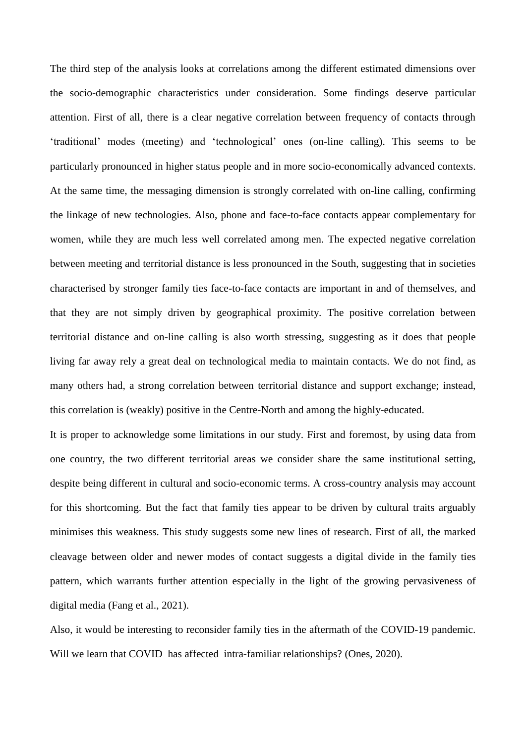The third step of the analysis looks at correlations among the different estimated dimensions over the socio-demographic characteristics under consideration. Some findings deserve particular attention. First of all, there is a clear negative correlation between frequency of contacts through 'traditional' modes (meeting) and 'technological' ones (on-line calling). This seems to be particularly pronounced in higher status people and in more socio-economically advanced contexts. At the same time, the messaging dimension is strongly correlated with on-line calling, confirming the linkage of new technologies. Also, phone and face-to-face contacts appear complementary for women, while they are much less well correlated among men. The expected negative correlation between meeting and territorial distance is less pronounced in the South, suggesting that in societies characterised by stronger family ties face-to-face contacts are important in and of themselves, and that they are not simply driven by geographical proximity. The positive correlation between territorial distance and on-line calling is also worth stressing, suggesting as it does that people living far away rely a great deal on technological media to maintain contacts. We do not find, as many others had, a strong correlation between territorial distance and support exchange; instead, this correlation is (weakly) positive in the Centre-North and among the highly-educated.

It is proper to acknowledge some limitations in our study. First and foremost, by using data from one country, the two different territorial areas we consider share the same institutional setting, despite being different in cultural and socio-economic terms. A cross-country analysis may account for this shortcoming. But the fact that family ties appear to be driven by cultural traits arguably minimises this weakness. This study suggests some new lines of research. First of all, the marked cleavage between older and newer modes of contact suggests a digital divide in the family ties pattern, which warrants further attention especially in the light of the growing pervasiveness of digital media (Fang et al., 2021).

Also, it would be interesting to reconsider family ties in the aftermath of the COVID-19 pandemic. Will we learn that COVID has affected intra-familiar relationships? (Ones, 2020).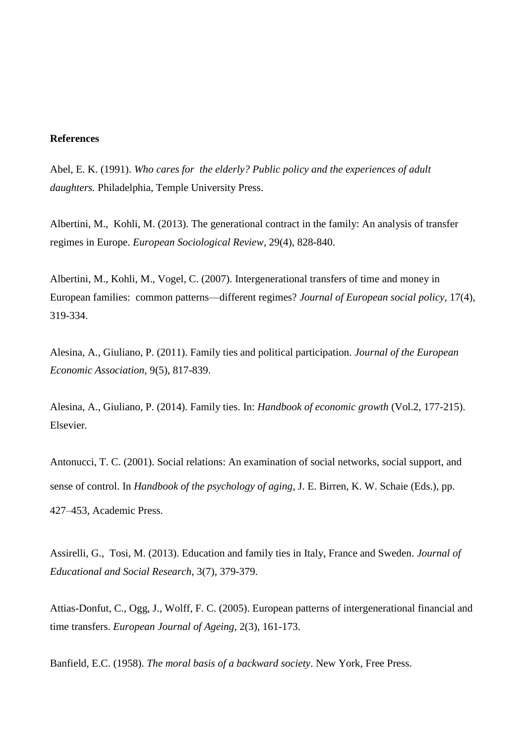#### **References**

Abel, E. K. (1991). *Who cares for the elderly? Public policy and the experiences of adult daughters.* Philadelphia, Temple University Press.

Albertini, M., Kohli, M. (2013). The generational contract in the family: An analysis of transfer regimes in Europe. *European Sociological Review*, 29(4), 828-840.

Albertini, M., Kohli, M., Vogel, C. (2007). Intergenerational transfers of time and money in European families: common patterns—different regimes? *Journal of European social policy*, 17(4), 319-334.

Alesina, A., Giuliano, P. (2011). Family ties and political participation. *Journal of the European Economic Association*, 9(5), 817-839.

Alesina, A., Giuliano, P. (2014). Family ties. In: *Handbook of economic growth* (Vol.2, 177-215). Elsevier*.*

Antonucci, T. C. (2001). Social relations: An examination of social networks, social support, and sense of control. In *Handbook of the psychology of aging,* J. E. Birren, K. W. Schaie (Eds.), pp. 427–453, Academic Press.

Assirelli, G., Tosi, M. (2013). Education and family ties in Italy, France and Sweden. *Journal of Educational and Social Research*, 3(7), 379-379.

Attias-Donfut, C., Ogg, J., Wolff, F. C. (2005). European patterns of intergenerational financial and time transfers. *European Journal of Ageing*, 2(3), 161-173.

Banfield, E.C. (1958). *The moral basis of a backward society*. New York, Free Press.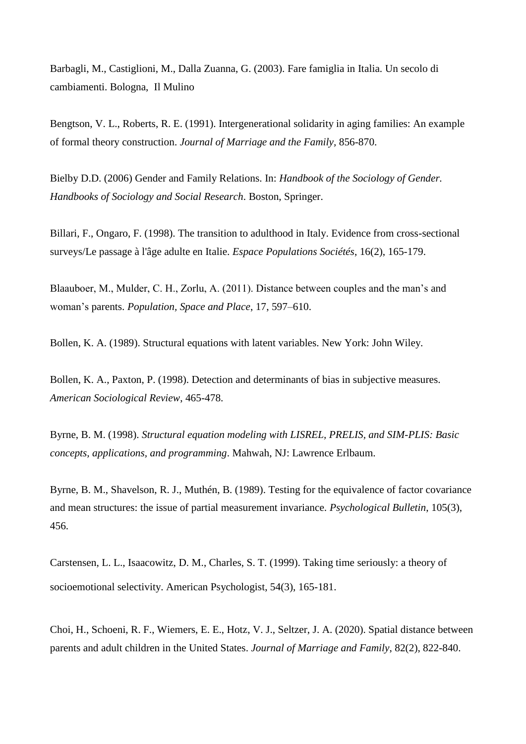Barbagli, M., Castiglioni, M., Dalla Zuanna, G. (2003). Fare famiglia in Italia. Un secolo di cambiamenti. Bologna, Il Mulino

Bengtson, V. L., Roberts, R. E. (1991). Intergenerational solidarity in aging families: An example of formal theory construction. *Journal of Marriage and the Family,* 856-870.

Bielby D.D. (2006) Gender and Family Relations. In: *Handbook of the Sociology of Gender. Handbooks of Sociology and Social Research*. Boston, Springer.

Billari, F., Ongaro, F. (1998). The transition to adulthood in Italy. Evidence from cross-sectional surveys/Le passage à l'âge adulte en Italie. *Espace Populations Sociétés*, 16(2), 165-179.

Blaauboer, M., Mulder, C. H., Zorlu, A. (2011). Distance between couples and the man's and woman's parents. *Population, Space and Place*, 17, 597–610.

Bollen, K. A. (1989). Structural equations with latent variables. New York: John Wiley.

Bollen, K. A., Paxton, P. (1998). Detection and determinants of bias in subjective measures. *American Sociological Review*, 465-478.

Byrne, B. M. (1998). *Structural equation modeling with LISREL, PRELIS, and SIM-PLIS: Basic concepts, applications, and programming*. Mahwah, NJ: Lawrence Erlbaum.

Byrne, B. M., Shavelson, R. J., Muthén, B. (1989). Testing for the equivalence of factor covariance and mean structures: the issue of partial measurement invariance. *Psychological Bulletin*, 105(3), 456.

Carstensen, L. L., Isaacowitz, D. M., Charles, S. T. (1999). Taking time seriously: a theory of socioemotional selectivity. American Psychologist, 54(3), 165-181.

Choi, H., Schoeni, R. F., Wiemers, E. E., Hotz, V. J., Seltzer, J. A. (2020). Spatial distance between parents and adult children in the United States. *Journal of Marriage and Family*, 82(2), 822-840.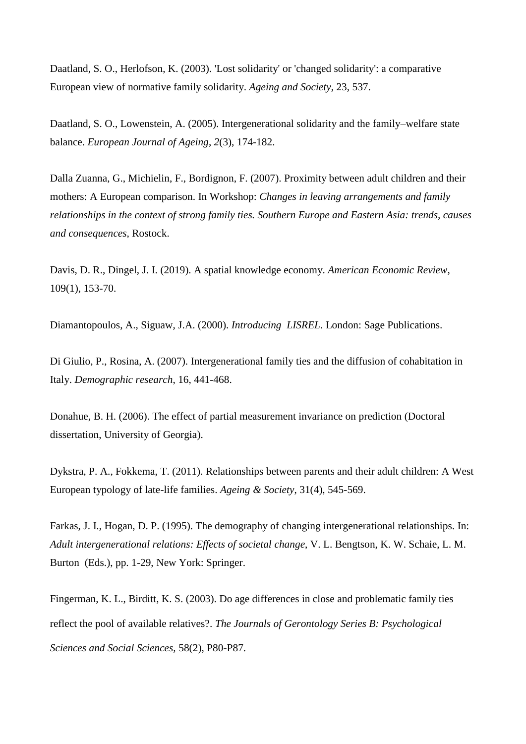Daatland, S. O., Herlofson, K. (2003). 'Lost solidarity' or 'changed solidarity': a comparative European view of normative family solidarity. *Ageing and Society*, 23, 537.

Daatland, S. O., Lowenstein, A. (2005). Intergenerational solidarity and the family–welfare state balance. *European Journal of Ageing*, *2*(3), 174-182.

Dalla Zuanna, G., Michielin, F., Bordignon, F. (2007). Proximity between adult children and their mothers: A European comparison. In Workshop: *Changes in leaving arrangements and family relationships in the context of strong family ties. Southern Europe and Eastern Asia: trends, causes and consequences,* Rostock.

Davis, D. R., Dingel, J. I. (2019). A spatial knowledge economy. *American Economic Review*, 109(1), 153-70.

Diamantopoulos, A., Siguaw, J.A. (2000). *Introducing LISREL*. London: Sage Publications.

Di Giulio, P., Rosina, A. (2007). Intergenerational family ties and the diffusion of cohabitation in Italy. *Demographic research*, 16, 441-468.

Donahue, B. H. (2006). The effect of partial measurement invariance on prediction (Doctoral dissertation, University of Georgia).

Dykstra, P. A., Fokkema, T. (2011). Relationships between parents and their adult children: A West European typology of late-life families. *Ageing & Society*, 31(4), 545-569.

Farkas, J. I., Hogan, D. P. (1995). The demography of changing intergenerational relationships. In: *Adult intergenerational relations: Effects of societal change*, V. L. Bengtson, K. W. Schaie, L. M. Burton (Eds.), pp. 1-29, New York: Springer.

Fingerman, K. L., Birditt, K. S. (2003). Do age differences in close and problematic family ties reflect the pool of available relatives?. *The Journals of Gerontology Series B: Psychological Sciences and Social Sciences,* 58(2), P80-P87.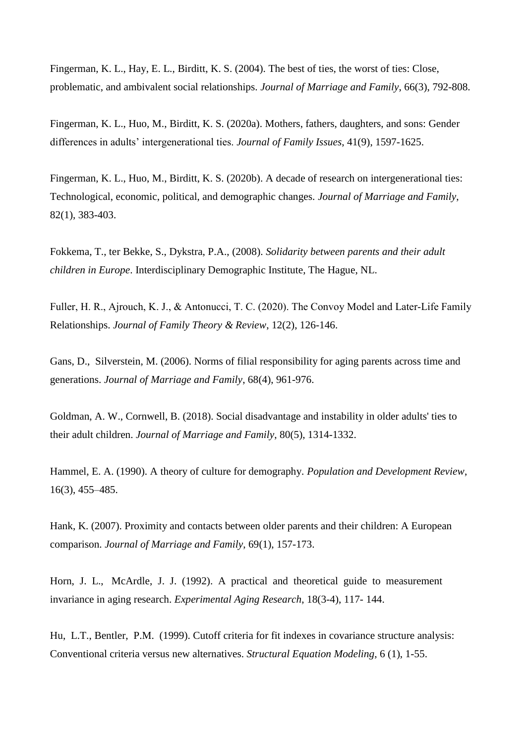Fingerman, K. L., Hay, E. L., Birditt, K. S. (2004). The best of ties, the worst of ties: Close, problematic, and ambivalent social relationships. *Journal of Marriage and Family*, 66(3), 792-808.

Fingerman, K. L., Huo, M., Birditt, K. S. (2020a). Mothers, fathers, daughters, and sons: Gender differences in adults' intergenerational ties. *Journal of Family Issues*, 41(9), 1597-1625.

Fingerman, K. L., Huo, M., Birditt, K. S. (2020b). A decade of research on intergenerational ties: Technological, economic, political, and demographic changes. *Journal of Marriage and Family*, 82(1), 383-403.

Fokkema, T., ter Bekke, S., Dykstra, P.A., (2008). *Solidarity between parents and their adult children in Europe*. Interdisciplinary Demographic Institute, The Hague, NL.

Fuller, H. R., Ajrouch, K. J., & Antonucci, T. C. (2020). The Convoy Model and Later-Life Family Relationships. *Journal of Family Theory & Review*, 12(2), 126-146.

Gans, D., Silverstein, M. (2006). Norms of filial responsibility for aging parents across time and generations. *Journal of Marriage and Family*, 68(4), 961-976.

Goldman, A. W., Cornwell, B. (2018). Social disadvantage and instability in older adults' ties to their adult children. *Journal of Marriage and Family*, 80(5), 1314-1332.

Hammel, E. A. (1990). A theory of culture for demography. *Population and Development Review*, 16(3), 455–485.

Hank, K. (2007). Proximity and contacts between older parents and their children: A European comparison. *Journal of Marriage and Family*, 69(1), 157-173.

Horn, J. L., McArdle, J. J. (1992). A practical and theoretical guide to measurement invariance in aging research. *Experimental Aging Research*, 18(3-4), 117- 144.

Hu, L.T., Bentler, P.M. (1999). Cutoff criteria for fit indexes in covariance structure analysis: Conventional criteria versus new alternatives. *Structural Equation Modeling*, 6 (1), 1-55.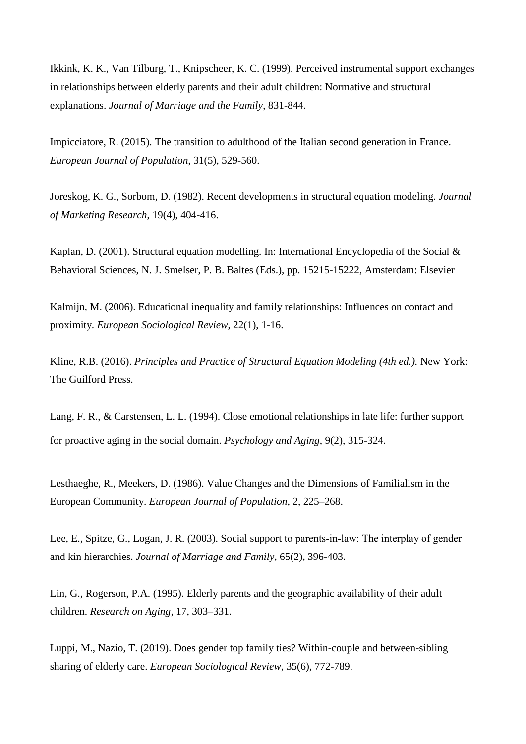Ikkink, K. K., Van Tilburg, T., Knipscheer, K. C. (1999). Perceived instrumental support exchanges in relationships between elderly parents and their adult children: Normative and structural explanations. *Journal of Marriage and the Family*, 831-844.

Impicciatore, R. (2015). The transition to adulthood of the Italian second generation in France. *European Journal of Population*, 31(5), 529-560.

Joreskog, K. G., Sorbom, D. (1982). Recent developments in structural equation modeling. *Journal of Marketing Research*, 19(4), 404-416.

Kaplan, D. (2001). Structural equation modelling. In: International Encyclopedia of the Social & Behavioral Sciences, N. J. Smelser, P. B. Baltes (Eds.), pp. 15215-15222, Amsterdam: Elsevier

Kalmijn, M. (2006). Educational inequality and family relationships: Influences on contact and proximity. *European Sociological Review*, 22(1), 1-16.

Kline, R.B. (2016). *Principles and Practice of Structural Equation Modeling (4th ed.).* New York: The Guilford Press.

Lang, F. R., & Carstensen, L. L. (1994). Close emotional relationships in late life: further support for proactive aging in the social domain. *Psychology and Aging*, 9(2), 315-324.

Lesthaeghe, R., Meekers, D. (1986). Value Changes and the Dimensions of Familialism in the European Community. *European Journal of Population*, 2, 225–268.

Lee, E., Spitze, G., Logan, J. R. (2003). Social support to parents‐in‐law: The interplay of gender and kin hierarchies. *Journal of Marriage and Family*, 65(2), 396-403.

Lin, G., Rogerson, P.A. (1995). Elderly parents and the geographic availability of their adult children. *Research on Aging,* 17, 303–331.

Luppi, M., Nazio, T. (2019). Does gender top family ties? Within-couple and between-sibling sharing of elderly care. *European Sociological Review*, 35(6), 772-789.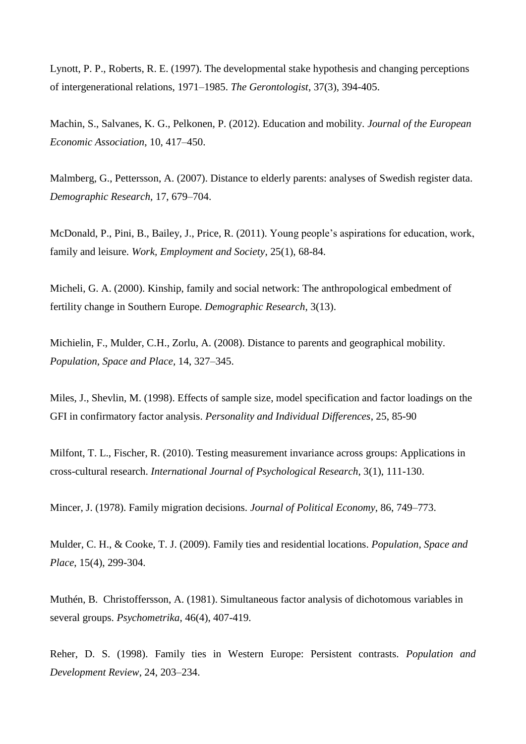Lynott, P. P., Roberts, R. E. (1997). The developmental stake hypothesis and changing perceptions of intergenerational relations, 1971–1985. *The Gerontologist*, 37(3), 394-405.

Machin, S., Salvanes, K. G., Pelkonen, P. (2012). Education and mobility. *Journal of the European Economic Association*, 10, 417–450.

Malmberg, G., Pettersson, A. (2007). Distance to elderly parents: analyses of Swedish register data. *Demographic Research,* 17, 679–704.

McDonald, P., Pini, B., Bailey, J., Price, R. (2011). Young people's aspirations for education, work, family and leisure. *Work, Employment and Society*, 25(1), 68-84.

Micheli, G. A. (2000). Kinship, family and social network: The anthropological embedment of fertility change in Southern Europe. *Demographic Research*, 3(13).

Michielin, F., Mulder, C.H., Zorlu, A. (2008). Distance to parents and geographical mobility. *Population, Space and Place,* 14, 327–345.

Miles, J., Shevlin, M. (1998). Effects of sample size, model specification and factor loadings on the GFI in confirmatory factor analysis. *Personality and Individual Differences*, 25, 85-90

Milfont, T. L., Fischer, R. (2010). Testing measurement invariance across groups: Applications in cross-cultural research. *International Journal of Psychological Research*, 3(1), 111-130.

Mincer, J. (1978). Family migration decisions. *Journal of Political Economy*, 86, 749–773.

Mulder, C. H., & Cooke, T. J. (2009). Family ties and residential locations. *Population, Space and Place*, 15(4), 299-304.

Muthén, B. Christoffersson, A. (1981). Simultaneous factor analysis of dichotomous variables in several groups. *Psychometrika*, 46(4), 407-419.

Reher, D. S. (1998). Family ties in Western Europe: Persistent contrasts. *Population and Development Review*, 24, 203–234.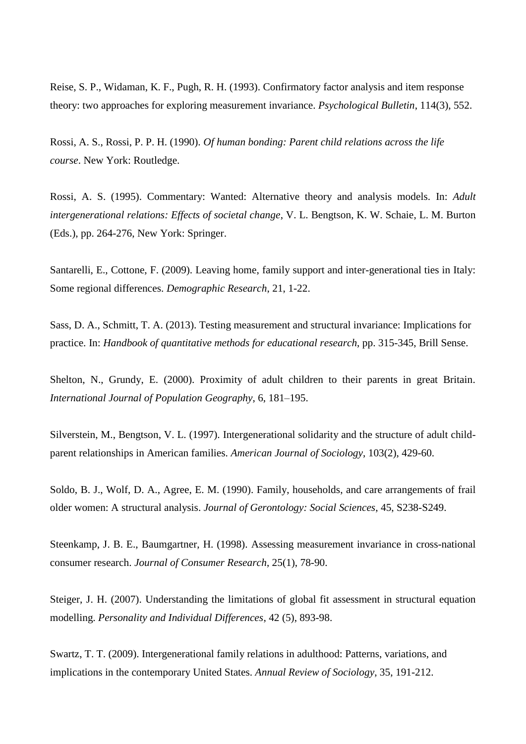Reise, S. P., Widaman, K. F., Pugh, R. H. (1993). Confirmatory factor analysis and item response theory: two approaches for exploring measurement invariance. *Psychological Bulletin*, 114(3), 552.

Rossi, A. S., Rossi, P. P. H. (1990). *Of human bonding: Parent child relations across the life course*. New York: Routledge.

Rossi, A. S. (1995). Commentary: Wanted: Alternative theory and analysis models. In: *Adult intergenerational relations: Effects of societal change*, V. L. Bengtson, K. W. Schaie, L. M. Burton (Eds.), pp. 264-276, New York: Springer.

Santarelli, E., Cottone, F. (2009). Leaving home, family support and inter-generational ties in Italy: Some regional differences. *Demographic Research*, 21, 1-22.

Sass, D. A., Schmitt, T. A. (2013). Testing measurement and structural invariance: Implications for practice. In: *Handbook of quantitative methods for educational research*, pp. 315-345, Brill Sense.

Shelton, N., Grundy, E. (2000). Proximity of adult children to their parents in great Britain. *International Journal of Population Geography*, 6, 181–195.

Silverstein, M., Bengtson, V. L. (1997). Intergenerational solidarity and the structure of adult childparent relationships in American families. *American Journal of Sociology*, 103(2), 429-60.

Soldo, B. J., Wolf, D. A., Agree, E. M. (1990). Family, households, and care arrangements of frail older women: A structural analysis. *Journal of Gerontology: Social Sciences*, 45, S238-S249.

Steenkamp, J. B. E., Baumgartner, H. (1998). Assessing measurement invariance in cross-national consumer research. *Journal of Consumer Research*, 25(1), 78-90.

Steiger, J. H. (2007). Understanding the limitations of global fit assessment in structural equation modelling. *Personality and Individual Differences*, 42 (5), 893-98.

Swartz, T. T. (2009). Intergenerational family relations in adulthood: Patterns, variations, and implications in the contemporary United States. *Annual Review of Sociology*, 35, 191-212.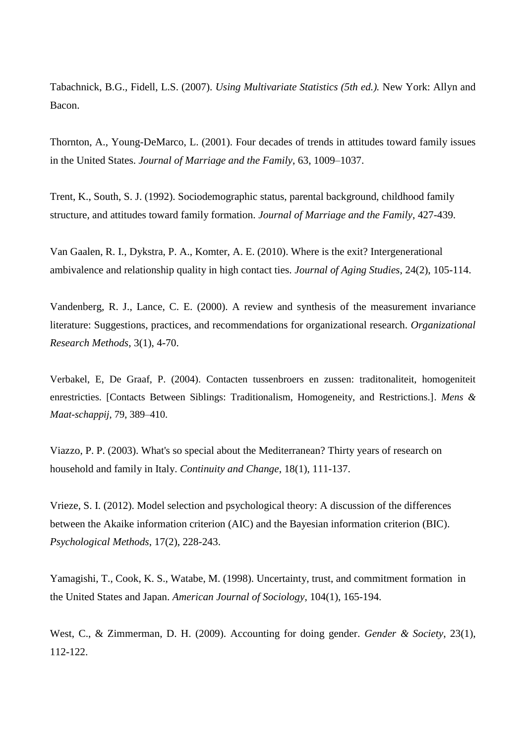Tabachnick, B.G., Fidell, L.S. (2007). *Using Multivariate Statistics (5th ed.).* New York: Allyn and Bacon.

Thornton, A., Young-DeMarco, L. (2001). Four decades of trends in attitudes toward family issues in the United States. *Journal of Marriage and the Family*, 63, 1009–1037.

Trent, K., South, S. J. (1992). Sociodemographic status, parental background, childhood family structure, and attitudes toward family formation. *Journal of Marriage and the Family*, 427-439.

Van Gaalen, R. I., Dykstra, P. A., Komter, A. E. (2010). Where is the exit? Intergenerational ambivalence and relationship quality in high contact ties. *Journal of Aging Studies*, 24(2), 105-114.

Vandenberg, R. J., Lance, C. E. (2000). A review and synthesis of the measurement invariance literature: Suggestions, practices, and recommendations for organizational research. *Organizational Research Methods*, 3(1), 4-70.

Verbakel, E, De Graaf, P. (2004). Contacten tussenbroers en zussen: traditonaliteit, homogeniteit enrestricties. [Contacts Between Siblings: Traditionalism, Homogeneity, and Restrictions.]. *Mens & Maat-schappij*, 79, 389–410.

Viazzo, P. P. (2003). What's so special about the Mediterranean? Thirty years of research on household and family in Italy. *Continuity and Change*, 18(1), 111-137.

Vrieze, S. I. (2012). Model selection and psychological theory: A discussion of the differences between the Akaike information criterion (AIC) and the Bayesian information criterion (BIC). *Psychological Methods*, 17(2), 228-243.

Yamagishi, T., Cook, K. S., Watabe, M. (1998). Uncertainty, trust, and commitment formation in the United States and Japan. *American Journal of Sociology*, 104(1), 165-194.

West, C., & Zimmerman, D. H. (2009). Accounting for doing gender. *Gender & Society*, 23(1), 112-122.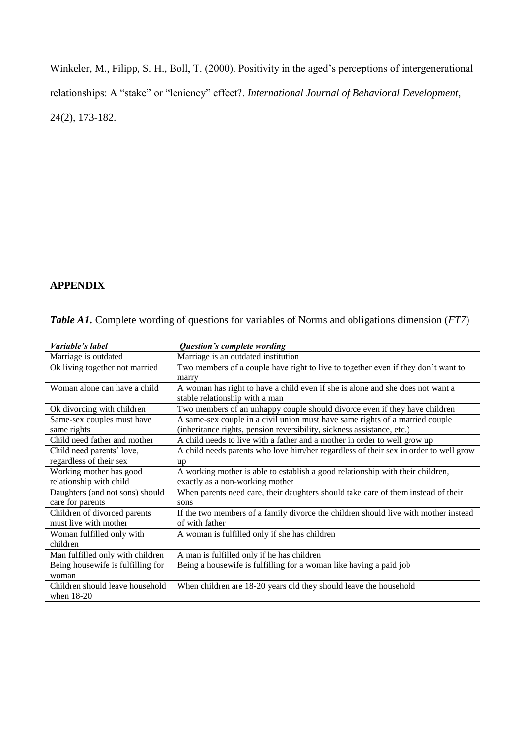Winkeler, M., Filipp, S. H., Boll, T. (2000). Positivity in the aged's perceptions of intergenerational relationships: A "stake" or "leniency" effect?. *International Journal of Behavioral Development*, 24(2), 173-182.

# **APPENDIX**

|  |  |  | <b>Table A1.</b> Complete wording of questions for variables of Norms and obligations dimension (FT7) |  |
|--|--|--|-------------------------------------------------------------------------------------------------------|--|
|  |  |  |                                                                                                       |  |

| Variable's label                  | Question's complete wording                                                          |
|-----------------------------------|--------------------------------------------------------------------------------------|
| Marriage is outdated              | Marriage is an outdated institution                                                  |
| Ok living together not married    | Two members of a couple have right to live to together even if they don't want to    |
|                                   | marry                                                                                |
| Woman alone can have a child      | A woman has right to have a child even if she is alone and she does not want a       |
|                                   | stable relationship with a man                                                       |
| Ok divorcing with children        | Two members of an unhappy couple should divorce even if they have children           |
| Same-sex couples must have        | A same-sex couple in a civil union must have same rights of a married couple         |
| same rights                       | (inheritance rights, pension reversibility, sickness assistance, etc.)               |
| Child need father and mother      | A child needs to live with a father and a mother in order to well grow up            |
| Child need parents' love,         | A child needs parents who love him/her regardless of their sex in order to well grow |
| regardless of their sex           | up                                                                                   |
| Working mother has good           | A working mother is able to establish a good relationship with their children,       |
| relationship with child           | exactly as a non-working mother                                                      |
| Daughters (and not sons) should   | When parents need care, their daughters should take care of them instead of their    |
| care for parents                  | sons                                                                                 |
| Children of divorced parents      | If the two members of a family divorce the children should live with mother instead  |
| must live with mother             | of with father                                                                       |
| Woman fulfilled only with         | A woman is fulfilled only if she has children                                        |
| children                          |                                                                                      |
| Man fulfilled only with children  | A man is fulfilled only if he has children                                           |
| Being housewife is fulfilling for | Being a housewife is fulfilling for a woman like having a paid job                   |
| woman                             |                                                                                      |
| Children should leave household   | When children are 18-20 years old they should leave the household                    |
| when 18-20                        |                                                                                      |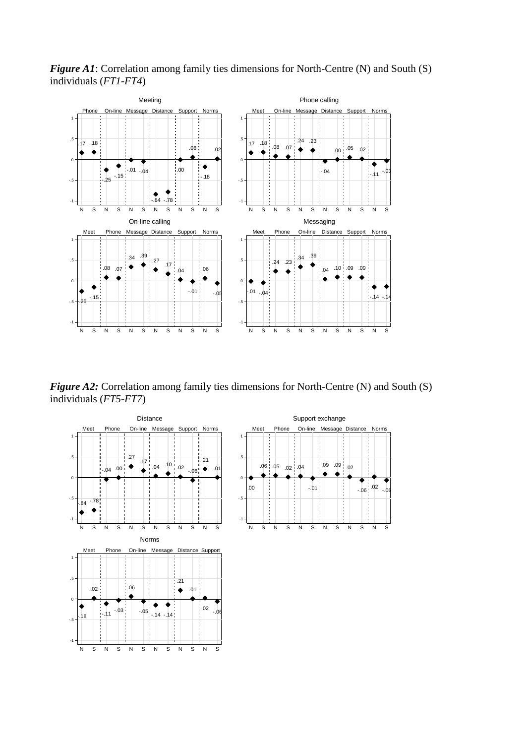

*Figure A1*: Correlation among family ties dimensions for North-Centre (N) and South (S) individuals (*FT1-FT4*)

*Figure A2:* Correlation among family ties dimensions for North-Centre (N) and South (S) individuals (*FT5-FT7*)

N S N S N S N S N S N S

N S N S N S N S N S N S